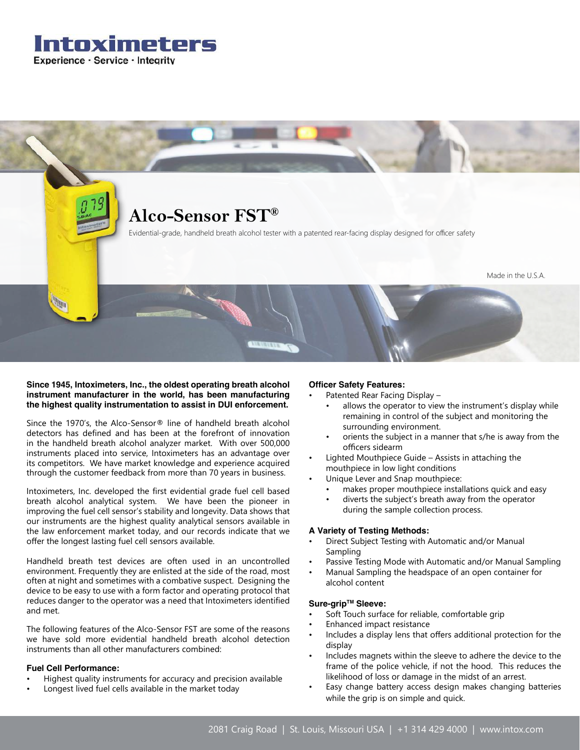



# **Since 1945, Intoximeters, Inc., the oldest operating breath alcohol instrument manufacturer in the world, has been manufacturing the highest quality instrumentation to assist in DUI enforcement.**

Since the 1970's, the Alco-Sensor® line of handheld breath alcohol detectors has defined and has been at the forefront of innovation in the handheld breath alcohol analyzer market. With over 500,000 instruments placed into service, Intoximeters has an advantage over its competitors. We have market knowledge and experience acquired through the customer feedback from more than 70 years in business.

Intoximeters, Inc. developed the first evidential grade fuel cell based breath alcohol analytical system. We have been the pioneer in improving the fuel cell sensor's stability and longevity. Data shows that our instruments are the highest quality analytical sensors available in the law enforcement market today, and our records indicate that we offer the longest lasting fuel cell sensors available.

Handheld breath test devices are often used in an uncontrolled environment. Frequently they are enlisted at the side of the road, most often at night and sometimes with a combative suspect. Designing the device to be easy to use with a form factor and operating protocol that reduces danger to the operator was a need that Intoximeters identified and met.

The following features of the Alco-Sensor FST are some of the reasons we have sold more evidential handheld breath alcohol detection instruments than all other manufacturers combined:

# **Fuel Cell Performance:**

- Highest quality instruments for accuracy and precision available
- Longest lived fuel cells available in the market today

# **Officer Safety Features:**

- Patented Rear Facing Display
	- allows the operator to view the instrument's display while remaining in control of the subject and monitoring the surrounding environment.
	- orients the subject in a manner that s/he is away from the officers sidearm
- Lighted Mouthpiece Guide Assists in attaching the mouthpiece in low light conditions
- Unique Lever and Snap mouthpiece:
	- makes proper mouthpiece installations quick and easy
	- diverts the subject's breath away from the operator during the sample collection process.

# **A Variety of Testing Methods:**

- Direct Subject Testing with Automatic and/or Manual Sampling
- Passive Testing Mode with Automatic and/or Manual Sampling
- Manual Sampling the headspace of an open container for alcohol content

# **Sure-gripTM Sleeve:**

- Soft Touch surface for reliable, comfortable grip
- Enhanced impact resistance
- Includes a display lens that offers additional protection for the display
- Includes magnets within the sleeve to adhere the device to the frame of the police vehicle, if not the hood. This reduces the likelihood of loss or damage in the midst of an arrest.
- Easy change battery access design makes changing batteries while the grip is on simple and quick.